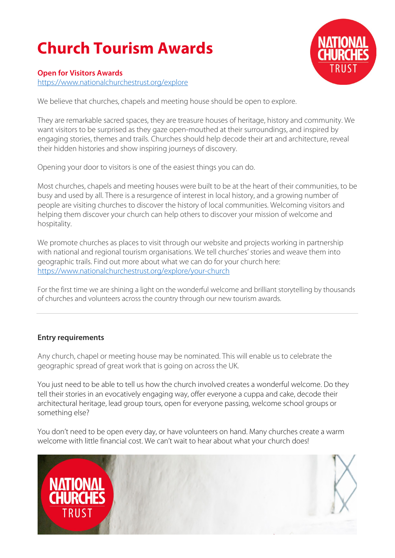# **Church Tourism Awards**



#### **Open for Visitors Awards**

<https://www.nationalchurchestrust.org/explore>

We believe that churches, chapels and meeting house should be open to explore.

They are remarkable sacred spaces, they are treasure houses of heritage, history and community. We want visitors to be surprised as they gaze open-mouthed at their surroundings, and inspired by engaging stories, themes and trails. Churches should help decode their art and architecture, reveal their hidden histories and show inspiring journeys of discovery.

Opening your door to visitors is one of the easiest things you can do.

Most churches, chapels and meeting houses were built to be at the heart of their communities, to be busy and used by all. There is a resurgence of interest in local history, and a growing number of people are visiting churches to discover the history of local communities. Welcoming visitors and helping them discover your church can help others to discover your mission of welcome and hospitality.

We promote churches as places to visit through our website and projects working in partnership with national and regional tourism organisations. We tell churches' stories and weave them into geographic trails. Find out more about what we can do for your church here: <https://www.nationalchurchestrust.org/explore/your-church>

For the first time we are shining a light on the wonderful welcome and brilliant storytelling by thousands of churches and volunteers across the country through our new tourism awards.

### **Entry requirements**

Any church, chapel or meeting house may be nominated. This will enable us to celebrate the geographic spread of great work that is going on across the UK.

You just need to be able to tell us how the church involved creates a wonderful welcome. Do they tell their stories in an evocatively engaging way, offer everyone a cuppa and cake, decode their architectural heritage, lead group tours, open for everyone passing, welcome school groups or something else?

You don't need to be open every day, or have volunteers on hand. Many churches create a warm welcome with little financial cost. We can't wait to hear about what your church does!

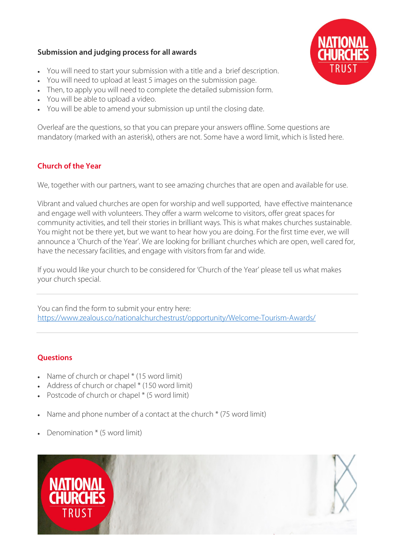### **Submission and judging process for all awards**



- You will need to start your submission with a title and a brief description.
- You will need to upload at least 5 images on the submission page.
- Then, to apply you will need to complete the detailed submission form.
- You will be able to upload a video.
- You will be able to amend your submission up until the closing date.

Overleaf are the questions, so that you can prepare your answers offline. Some questions are mandatory (marked with an asterisk), others are not. Some have a word limit, which is listed here.

## **Church of the Year**

We, together with our partners, want to see amazing churches that are open and available for use.

Vibrant and valued churches are open for worship and well supported, have effective maintenance and engage well with volunteers. They offer a warm welcome to visitors, offer great spaces for community activities, and tell their stories in brilliant ways. This is what makes churches sustainable. You might not be there yet, but we want to hear how you are doing. For the first time ever, we will announce a 'Church of the Year'. We are looking for brilliant churches which are open, well cared for, have the necessary facilities, and engage with visitors from far and wide.

If you would like your church to be considered for 'Church of the Year' please tell us what makes your church special.

You can find the form to submit your entry here: <https://www.zealous.co/nationalchurchestrust/opportunity/Welcome-Tourism-Awards/>

### **Questions**

- Name of church or chapel  $*(15 \text{ word limit})$
- Address of church or chapel \* (150 word limit)
- Postcode of church or chapel \* (5 word limit)
- Name and phone number of a contact at the church  $*$  (75 word limit)
- Denomination \* (5 word limit)

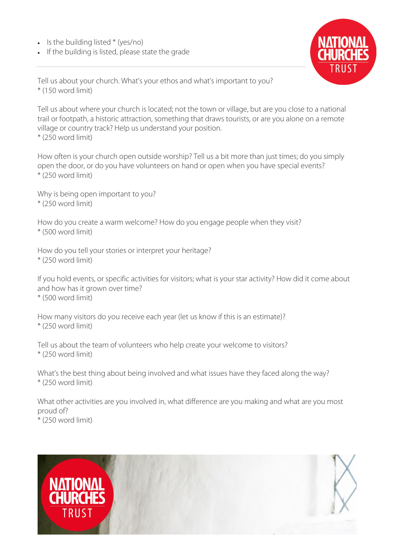- $\bullet$  Is the building listed  $*(ves/no)$
- If the building is listed, please state the grade



Tell us about your church. What's your ethos and what's important to you? \* (150 word limit)

Tell us about where your church is located; not the town or village, but are you close to a national trail or footpath, a historic attraction, something that draws tourists, or are you alone on a remote village or country track? Help us understand your position. \* (250 word limit)

How often is your church open outside worship? Tell us a bit more than just times; do you simply open the door, or do you have volunteers on hand or open when you have special events?  $*(250 \text{ word limit})$ 

Why is being open important to you? \* (250 word limit)

How do you create a warm welcome? How do you engage people when they visit? \* (500 word limit)

How do you tell your stories or interpret your heritage? \* (250 word limit)

If you hold events, or specific activities for visitors; what is your star activity? How did it come about and how has it grown over time? \* (500 word limit)

How many visitors do you receive each year (let us know if this is an estimate)? \* (250 word limit)

Tell us about the team of volunteers who help create your welcome to visitors? \* (250 word limit)

What's the best thing about being involved and what issues have they faced along the way? \* (250 word limit)

What other activities are you involved in, what difference are you making and what are you most proud of? \* (250 word limit)